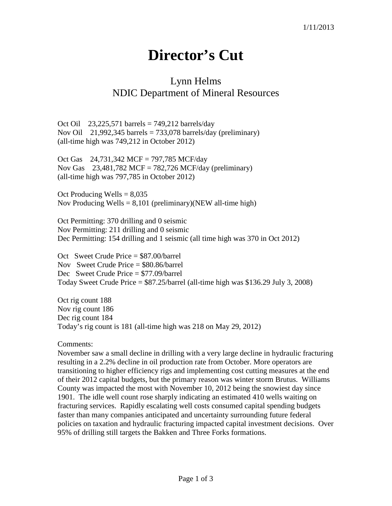## **Director's Cut**

## Lynn Helms NDIC Department of Mineral Resources

Oct Oil 23,225,571 barrels =  $749,212$  barrels/day Nov Oil 21,992,345 barrels =  $733,078$  barrels/day (preliminary) (all-time high was 749,212 in October 2012)

Oct Gas 24,731,342 MCF = 797,785 MCF/day Nov Gas 23,481,782 MCF = 782,726 MCF/day (preliminary) (all-time high was 797,785 in October 2012)

Oct Producing Wells  $= 8,035$ Nov Producing Wells  $= 8,101$  (preliminary)(NEW all-time high)

Oct Permitting: 370 drilling and 0 seismic Nov Permitting: 211 drilling and 0 seismic Dec Permitting: 154 drilling and 1 seismic (all time high was 370 in Oct 2012)

Oct Sweet Crude Price = \$87.00/barrel Nov Sweet Crude Price = \$80.86/barrel Dec Sweet Crude Price = \$77.09/barrel Today Sweet Crude Price  $= $87.25/b$ arrel (all-time high was \$136.29 July 3, 2008)

Oct rig count 188 Nov rig count 186 Dec rig count 184 Today's rig count is 181 (all-time high was 218 on May 29, 2012)

Comments:

November saw a small decline in drilling with a very large decline in hydraulic fracturing resulting in a 2.2% decline in oil production rate from October. More operators are transitioning to higher efficiency rigs and implementing cost cutting measures at the end of their 2012 capital budgets, but the primary reason was winter storm Brutus. Williams County was impacted the most with November 10, 2012 being the snowiest day since 1901. The idle well count rose sharply indicating an estimated 410 wells waiting on fracturing services. Rapidly escalating well costs consumed capital spending budgets faster than many companies anticipated and uncertainty surrounding future federal policies on taxation and hydraulic fracturing impacted capital investment decisions. Over 95% of drilling still targets the Bakken and Three Forks formations.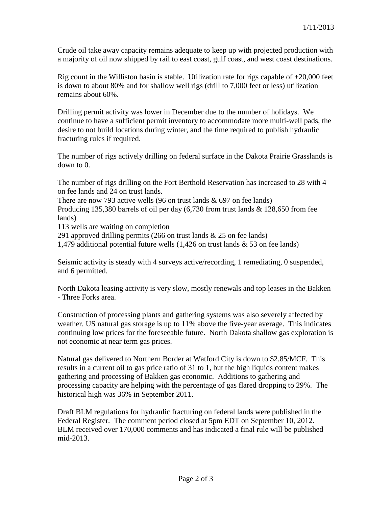Crude oil take away capacity remains adequate to keep up with projected production with a majority of oil now shipped by rail to east coast, gulf coast, and west coast destinations.

Rig count in the Williston basin is stable. Utilization rate for rigs capable of  $+20,000$  feet is down to about 80% and for shallow well rigs (drill to 7,000 feet or less) utilization remains about 60%.

Drilling permit activity was lower in December due to the number of holidays. We continue to have a sufficient permit inventory to accommodate more multi-well pads, the desire to not build locations during winter, and the time required to publish hydraulic fracturing rules if required.

The number of rigs actively drilling on federal surface in the Dakota Prairie Grasslands is down to 0.

The number of rigs drilling on the Fort Berthold Reservation has increased to 28 with 4 on fee lands and 24 on trust lands.

There are now 793 active wells (96 on trust lands  $& 697$  on fee lands)

Producing 135,380 barrels of oil per day (6,730 from trust lands & 128,650 from fee lands)

113 wells are waiting on completion

291 approved drilling permits (266 on trust lands  $& 25$  on fee lands)

1,479 additional potential future wells (1,426 on trust lands & 53 on fee lands)

Seismic activity is steady with 4 surveys active/recording, 1 remediating, 0 suspended, and 6 permitted.

North Dakota leasing activity is very slow, mostly renewals and top leases in the Bakken - Three Forks area.

Construction of processing plants and gathering systems was also severely affected by weather. US natural gas storage is up to 11% above the five-year average. This indicates continuing low prices for the foreseeable future. North Dakota shallow gas exploration is not economic at near term gas prices.

Natural gas delivered to Northern Border at Watford City is down to \$2.85/MCF. This results in a current oil to gas price ratio of 31 to 1, but the high liquids content makes gathering and processing of Bakken gas economic. Additions to gathering and processing capacity are helping with the percentage of gas flared dropping to 29%. The historical high was 36% in September 2011.

Draft BLM regulations for hydraulic fracturing on federal lands were published in the Federal Register. The comment period closed at 5pm EDT on September 10, 2012. BLM received over 170,000 comments and has indicated a final rule will be published mid-2013.